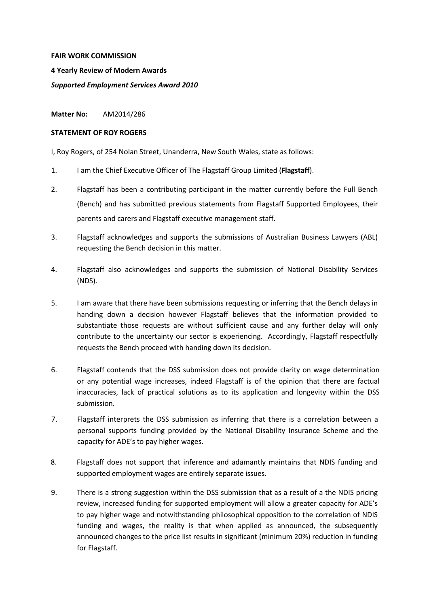## **FAIR WORK COMMISSION**

**4 Yearly Review of Modern Awards**

*Supported Employment Services Award 2010*

**Matter No:** AM2014/286

## **STATEMENT OF ROY ROGERS**

I, Roy Rogers, of 254 Nolan Street, Unanderra, New South Wales, state as follows:

- 1. I am the Chief Executive Officer of The Flagstaff Group Limited (**Flagstaff**).
- 2. Flagstaff has been a contributing participant in the matter currently before the Full Bench (Bench) and has submitted previous statements from Flagstaff Supported Employees, their parents and carers and Flagstaff executive management staff.
- 3. Flagstaff acknowledges and supports the submissions of Australian Business Lawyers (ABL) requesting the Bench decision in this matter.
- 4. Flagstaff also acknowledges and supports the submission of National Disability Services (NDS).
- 5. I am aware that there have been submissions requesting or inferring that the Bench delays in handing down a decision however Flagstaff believes that the information provided to substantiate those requests are without sufficient cause and any further delay will only contribute to the uncertainty our sector is experiencing. Accordingly, Flagstaff respectfully requests the Bench proceed with handing down its decision.
- 6. Flagstaff contends that the DSS submission does not provide clarity on wage determination or any potential wage increases, indeed Flagstaff is of the opinion that there are factual inaccuracies, lack of practical solutions as to its application and longevity within the DSS submission.
- 7. Flagstaff interprets the DSS submission as inferring that there is a correlation between a personal supports funding provided by the National Disability Insurance Scheme and the capacity for ADE's to pay higher wages.
- 8. Flagstaff does not support that inference and adamantly maintains that NDIS funding and supported employment wages are entirely separate issues.
- 9. There is a strong suggestion within the DSS submission that as a result of a the NDIS pricing review, increased funding for supported employment will allow a greater capacity for ADE's to pay higher wage and notwithstanding philosophical opposition to the correlation of NDIS funding and wages, the reality is that when applied as announced, the subsequently announced changes to the price list results in significant (minimum 20%) reduction in funding for Flagstaff.